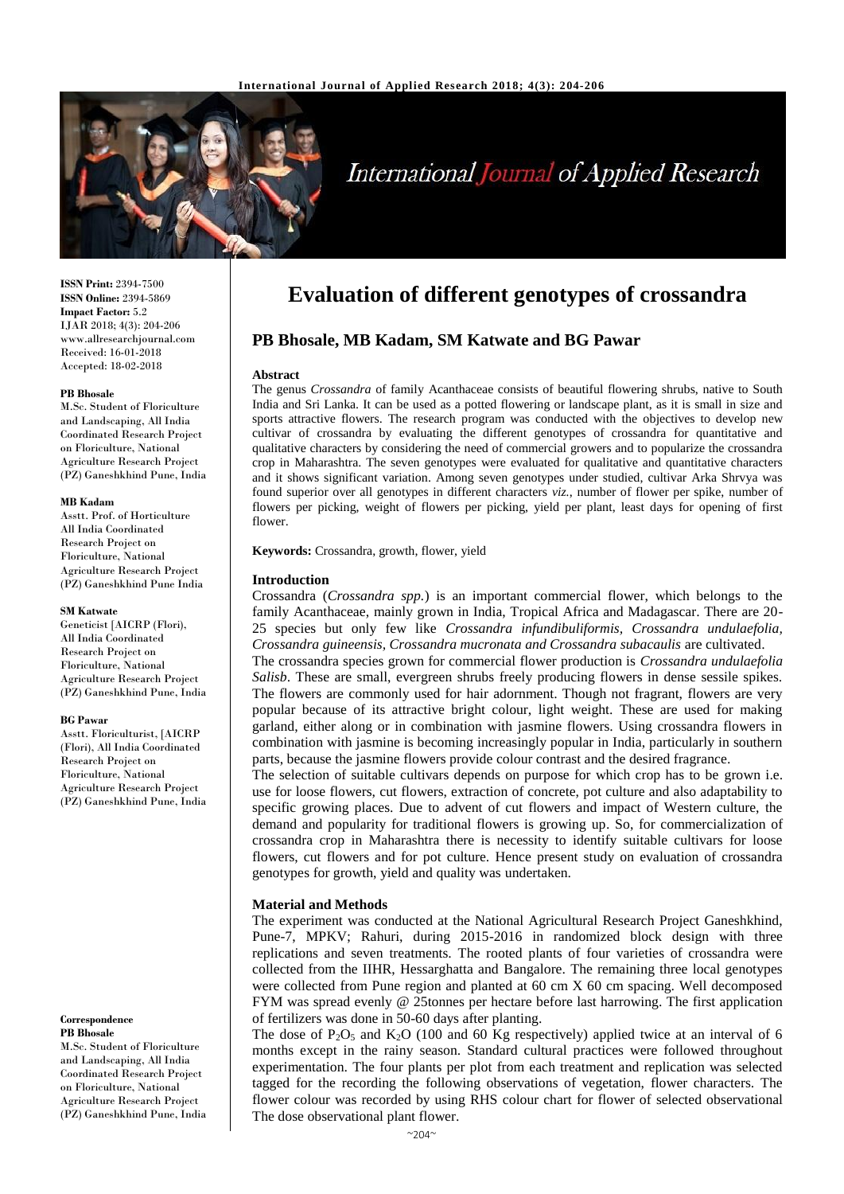

# **International Journal of Applied Research**

**ISSN Print:** 2394-7500 **ISSN Online:** 2394-5869 **Impact Factor:** 5.2 IJAR 2018; 4(3): 204-206 www.allresearchjournal.com Received: 16-01-2018 Accepted: 18-02-2018

#### **PB Bhosale**

M.Sc. Student of Floriculture and Landscaping, All India Coordinated Research Project on Floriculture, National Agriculture Research Project (PZ) Ganeshkhind Pune, India

#### **MB Kadam**

Asstt. Prof. of Horticulture All India Coordinated Research Project on Floriculture, National Agriculture Research Project (PZ) Ganeshkhind Pune India

#### **SM Katwate**

Geneticist [AICRP (Flori), All India Coordinated Research Project on Floriculture, National Agriculture Research Project (PZ) Ganeshkhind Pune, India

#### **BG Pawar**

Asstt. Floriculturist, [AICRP (Flori), All India Coordinated Research Project on Floriculture, National Agriculture Research Project (PZ) Ganeshkhind Pune, India

#### **Correspondence PB Bhosale**

M.Sc. Student of Floriculture and Landscaping, All India Coordinated Research Project on Floriculture, National

Agriculture Research Project (PZ) Ganeshkhind Pune, India

# **Evaluation of different genotypes of crossandra**

# **PB Bhosale, MB Kadam, SM Katwate and BG Pawar**

#### **Abstract**

The genus *Crossandra* of family Acanthaceae consists of beautiful flowering shrubs, native to South India and Sri Lanka. It can be used as a potted flowering or landscape plant, as it is small in size and sports attractive flowers. The research program was conducted with the objectives to develop new cultivar of crossandra by evaluating the different genotypes of crossandra for quantitative and qualitative characters by considering the need of commercial growers and to popularize the crossandra crop in Maharashtra. The seven genotypes were evaluated for qualitative and quantitative characters and it shows significant variation. Among seven genotypes under studied, cultivar Arka Shrvya was found superior over all genotypes in different characters *viz.*, number of flower per spike, number of flowers per picking, weight of flowers per picking, yield per plant, least days for opening of first flower.

**Keywords:** Crossandra, growth, flower, yield

#### **Introduction**

Crossandra (*Crossandra spp.*) is an important commercial flower, which belongs to the family Acanthaceae, mainly grown in India, Tropical Africa and Madagascar. There are 20- 25 species but only few like *Crossandra infundibuliformis, Crossandra undulaefolia, Crossandra guineensis, Crossandra mucronata and Crossandra subacaulis* are cultivated.

The crossandra species grown for commercial flower production is *Crossandra undulaefolia Salisb*. These are small, evergreen shrubs freely producing flowers in dense sessile spikes. The flowers are commonly used for hair adornment. Though not fragrant, flowers are very popular because of its attractive bright colour, light weight. These are used for making garland, either along or in combination with jasmine flowers. Using crossandra flowers in combination with jasmine is becoming increasingly popular in India, particularly in southern parts, because the jasmine flowers provide colour contrast and the desired fragrance.

The selection of suitable cultivars depends on purpose for which crop has to be grown i.e. use for loose flowers, cut flowers, extraction of concrete, pot culture and also adaptability to specific growing places. Due to advent of cut flowers and impact of Western culture, the demand and popularity for traditional flowers is growing up. So, for commercialization of crossandra crop in Maharashtra there is necessity to identify suitable cultivars for loose flowers, cut flowers and for pot culture. Hence present study on evaluation of crossandra genotypes for growth, yield and quality was undertaken.

### **Material and Methods**

The experiment was conducted at the National Agricultural Research Project Ganeshkhind, Pune-7, MPKV; Rahuri, during 2015-2016 in randomized block design with three replications and seven treatments. The rooted plants of four varieties of crossandra were collected from the IIHR, Hessarghatta and Bangalore. The remaining three local genotypes were collected from Pune region and planted at 60 cm X 60 cm spacing. Well decomposed FYM was spread evenly @ 25tonnes per hectare before last harrowing. The first application of fertilizers was done in 50-60 days after planting.

The dose of P<sub>2</sub>O<sub>5</sub> and K<sub>2</sub>O (100 and 60 Kg respectively) applied twice at an interval of 6 months except in the rainy season. Standard cultural practices were followed throughout experimentation. The four plants per plot from each treatment and replication was selected tagged for the recording the following observations of vegetation, flower characters. The flower colour was recorded by using RHS colour chart for flower of selected observational The dose observational plant flower.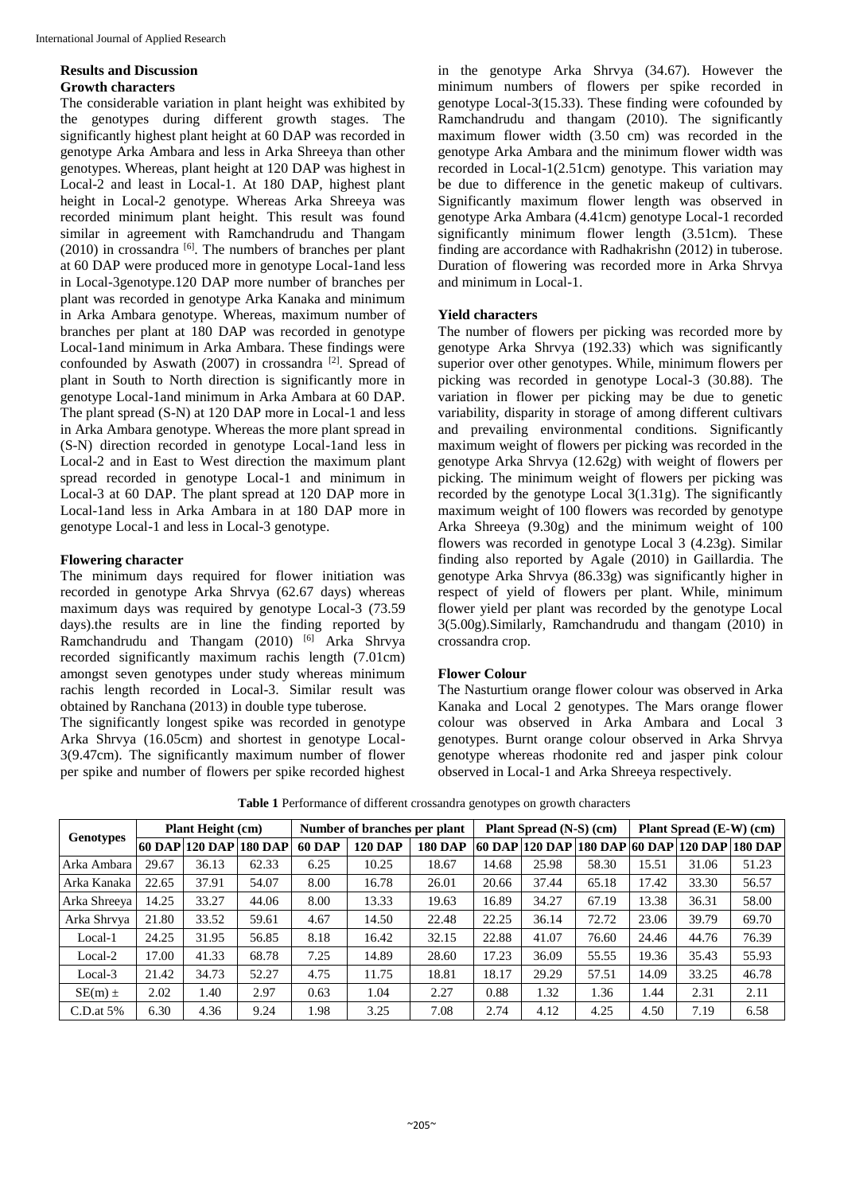# **Results and Discussion Growth characters**

The considerable variation in plant height was exhibited by the genotypes during different growth stages. The significantly highest plant height at 60 DAP was recorded in genotype Arka Ambara and less in Arka Shreeya than other genotypes. Whereas, plant height at 120 DAP was highest in Local-2 and least in Local-1. At 180 DAP, highest plant height in Local-2 genotype. Whereas Arka Shreeya was recorded minimum plant height. This result was found similar in agreement with Ramchandrudu and Thangam  $(2010)$  in crossandra  $[6]$ . The numbers of branches per plant at 60 DAP were produced more in genotype Local-1and less in Local-3genotype.120 DAP more number of branches per plant was recorded in genotype Arka Kanaka and minimum in Arka Ambara genotype. Whereas, maximum number of branches per plant at 180 DAP was recorded in genotype Local-1and minimum in Arka Ambara. These findings were confounded by Aswath (2007) in crossandra [2]. Spread of plant in South to North direction is significantly more in genotype Local-1and minimum in Arka Ambara at 60 DAP. The plant spread (S-N) at 120 DAP more in Local-1 and less in Arka Ambara genotype. Whereas the more plant spread in (S-N) direction recorded in genotype Local-1and less in Local-2 and in East to West direction the maximum plant spread recorded in genotype Local-1 and minimum in Local-3 at 60 DAP. The plant spread at 120 DAP more in Local-1and less in Arka Ambara in at 180 DAP more in genotype Local-1 and less in Local-3 genotype.

# **Flowering character**

The minimum days required for flower initiation was recorded in genotype Arka Shrvya (62.67 days) whereas maximum days was required by genotype Local-3 (73.59 days).the results are in line the finding reported by Ramchandrudu and Thangam  $(2010)$ <sup>[6]</sup> Arka Shrvya recorded significantly maximum rachis length (7.01cm) amongst seven genotypes under study whereas minimum rachis length recorded in Local-3. Similar result was obtained by Ranchana (2013) in double type tuberose.

The significantly longest spike was recorded in genotype Arka Shrvya (16.05cm) and shortest in genotype Local-3(9.47cm). The significantly maximum number of flower per spike and number of flowers per spike recorded highest in the genotype Arka Shrvya (34.67). However the minimum numbers of flowers per spike recorded in genotype Local-3(15.33). These finding were cofounded by Ramchandrudu and thangam (2010). The significantly maximum flower width (3.50 cm) was recorded in the genotype Arka Ambara and the minimum flower width was recorded in Local-1(2.51cm) genotype. This variation may be due to difference in the genetic makeup of cultivars. Significantly maximum flower length was observed in genotype Arka Ambara (4.41cm) genotype Local-1 recorded significantly minimum flower length (3.51cm). These finding are accordance with Radhakrishn (2012) in tuberose. Duration of flowering was recorded more in Arka Shrvya and minimum in Local-1.

# **Yield characters**

The number of flowers per picking was recorded more by genotype Arka Shrvya (192.33) which was significantly superior over other genotypes. While, minimum flowers per picking was recorded in genotype Local-3 (30.88). The variation in flower per picking may be due to genetic variability, disparity in storage of among different cultivars and prevailing environmental conditions. Significantly maximum weight of flowers per picking was recorded in the genotype Arka Shrvya (12.62g) with weight of flowers per picking. The minimum weight of flowers per picking was recorded by the genotype Local 3(1.31g). The significantly maximum weight of 100 flowers was recorded by genotype Arka Shreeya (9.30g) and the minimum weight of 100 flowers was recorded in genotype Local 3 (4.23g). Similar finding also reported by Agale (2010) in Gaillardia. The genotype Arka Shrvya (86.33g) was significantly higher in respect of yield of flowers per plant. While, minimum flower yield per plant was recorded by the genotype Local 3(5.00g).Similarly, Ramchandrudu and thangam (2010) in crossandra crop.

# **Flower Colour**

The Nasturtium orange flower colour was observed in Arka Kanaka and Local 2 genotypes. The Mars orange flower colour was observed in Arka Ambara and Local 3 genotypes. Burnt orange colour observed in Arka Shrvya genotype whereas rhodonite red and jasper pink colour observed in Local-1 and Arka Shreeya respectively.

**Table 1** Performance of different crossandra genotypes on growth characters

| Genotypes    | <b>Plant Height (cm)</b> |       |                        | Number of branches per plant |                |                | Plant Spread (N-S) (cm) |                       |       | Plant Spread (E-W) (cm) |       |                                |
|--------------|--------------------------|-------|------------------------|------------------------------|----------------|----------------|-------------------------|-----------------------|-------|-------------------------|-------|--------------------------------|
|              |                          |       | 60 DAP 120 DAP 180 DAP | <b>60 DAP</b>                | <b>120 DAP</b> | <b>180 DAP</b> |                         | <b>60 DAP 120 DAP</b> |       |                         |       | 180 DAP 60 DAP 120 DAP 180 DAP |
| Arka Ambara  | 29.67                    | 36.13 | 62.33                  | 6.25                         | 10.25          | 18.67          | 14.68                   | 25.98                 | 58.30 | 15.51                   | 31.06 | 51.23                          |
| Arka Kanaka  | 22.65                    | 37.91 | 54.07                  | 8.00                         | 16.78          | 26.01          | 20.66                   | 37.44                 | 65.18 | 17.42                   | 33.30 | 56.57                          |
| Arka Shreeya | 14.25                    | 33.27 | 44.06                  | 8.00                         | 13.33          | 19.63          | 16.89                   | 34.27                 | 67.19 | 13.38                   | 36.31 | 58.00                          |
| Arka Shrvya  | 21.80                    | 33.52 | 59.61                  | 4.67                         | 14.50          | 22.48          | 22.25                   | 36.14                 | 72.72 | 23.06                   | 39.79 | 69.70                          |
| Local-1      | 24.25                    | 31.95 | 56.85                  | 8.18                         | 16.42          | 32.15          | 22.88                   | 41.07                 | 76.60 | 24.46                   | 44.76 | 76.39                          |
| Local-2      | 17.00                    | 41.33 | 68.78                  | 7.25                         | 14.89          | 28.60          | 17.23                   | 36.09                 | 55.55 | 19.36                   | 35.43 | 55.93                          |
| Local-3      | 21.42                    | 34.73 | 52.27                  | 4.75                         | 11.75          | 18.81          | 18.17                   | 29.29                 | 57.51 | 14.09                   | 33.25 | 46.78                          |
| $SE(m) \pm$  | 2.02                     | 1.40  | 2.97                   | 0.63                         | 1.04           | 2.27           | 0.88                    | 1.32                  | 1.36  | 1.44                    | 2.31  | 2.11                           |
| $C.D.$ at 5% | 6.30                     | 4.36  | 9.24                   | 1.98                         | 3.25           | 7.08           | 2.74                    | 4.12                  | 4.25  | 4.50                    | 7.19  | 6.58                           |